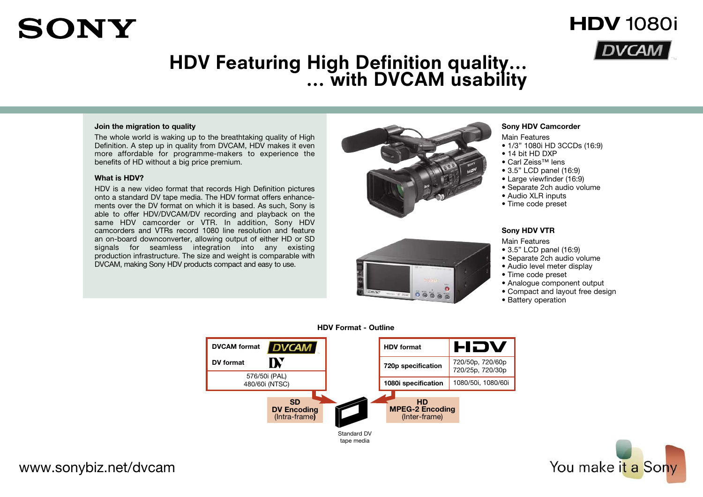# **HDV Featuring High Definition quality… … with DVCAM usability**

### **Join the migration to quality**

The whole world is waking up to the breathtaking quality of High Definition. A step up in quality from DVCAM, HDV makes it even more affordable for programme-makers to experience the benefits of HD without a big price premium.

## **What is HDV?**

**SONY** 

HDV is a new video format that records High Definition pictures onto a standard DV tape media. The HDV format offers enhancements over the DV format on which it is based. As such, Sony is able to offer HDV/DVCAM/DV recording and playback on the same HDV camcorder or VTR. In addition, Sony HDV camcorders and VTRs record 1080 line resolution and feature an on-board downconverter, allowing output of either HD or SD signals for seamless integration into any existing production infrastructure. The size and weight is comparable with DVCAM, making Sony HDV products compact and easy to use.





## **Sony HDV Camcorder**

Main Features

• 1/3" 1080i HD 3CCDs (16:9)

**HDV** 1080i

- 14 bit HD DXP
- Carl Zeiss™ lens
- 3.5" LCD panel (16:9)
- Large viewfinder (16:9)
- Separate 2ch audio volume
- Audio XLR inputs
- Time code preset

## **Sony HDV VTR**

Main Features

- 3.5" LCD panel (16:9)
- Separate 2ch audio volume
- Audio level meter display
- Time code preset
- Analogue component output
- Compact and layout free design
- Battery operation



tape media

## **HDV Format - Outline**



# www.sonybiz.net/dvcam